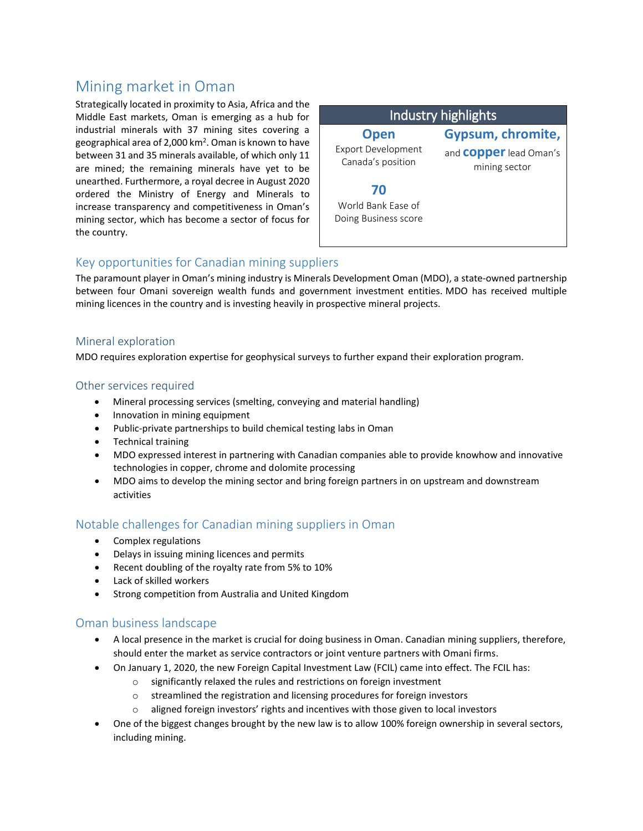# Mining market in Oman

Strategically located in proximity to Asia, Africa and the Middle East markets, Oman is emerging as a hub for industrial minerals with 37 mining sites covering a geographical area of 2,000 km<sup>2</sup>. Oman is known to have between 31 and 35 minerals available, of which only 11 are mined; the remaining minerals have yet to be unearthed. Furthermore, a royal decree in August 2020 ordered the Ministry of Energy and Minerals to increase transparency and competitiveness in Oman's mining sector, which has become a sector of focus for the country.

# Industry highlights

**Open** Export Development Canada's position

**Gypsum, chromite,**  and **copper**lead Oman's

mining sector

**70** World Bank Ease of Doing Business score

# Key opportunities for Canadian mining suppliers

The paramount player in Oman's mining industry is Minerals Development Oman (MDO), a state-owned partnership between four Omani sovereign wealth funds and government investment entities. MDO has received multiple mining licences in the country and is investing heavily in prospective mineral projects.

#### Mineral exploration

MDO requires exploration expertise for geophysical surveys to further expand their exploration program.

#### Other services required

- Mineral processing services (smelting, conveying and material handling)
- Innovation in mining equipment
- Public-private partnerships to build chemical testing labs in Oman
- Technical training
- MDO expressed interest in partnering with Canadian companies able to provide knowhow and innovative technologies in copper, chrome and dolomite processing
- MDO aims to develop the mining sector and bring foreign partners in on upstream and downstream activities

### Notable challenges for Canadian mining suppliers in Oman

- Complex regulations
- Delays in issuing mining licences and permits
- Recent doubling of the royalty rate from 5% to 10%
- Lack of skilled workers
- Strong competition from Australia and United Kingdom

#### Oman business landscape

- A local presence in the market is crucial for doing business in Oman. Canadian mining suppliers, therefore, should enter the market as service contractors or joint venture partners with Omani firms.
- On January 1, 2020, the new Foreign Capital Investment Law (FCIL) came into effect. The FCIL has:
	- o significantly relaxed the rules and restrictions on foreign investment
	- o streamlined the registration and licensing procedures for foreign investors
	- o aligned foreign investors' rights and incentives with those given to local investors
- One of the biggest changes brought by the new law is to allow 100% foreign ownership in several sectors, including mining.